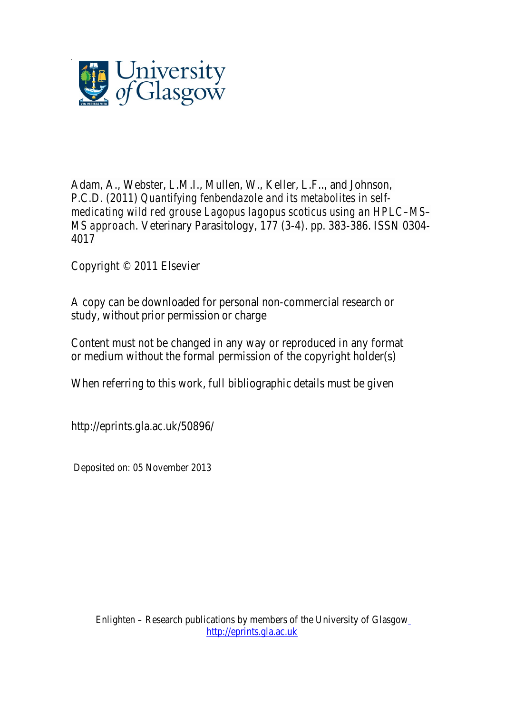

Adam, A., Webster, L.M.I., Mullen, W., Keller, L.F.., and Johnson, P.C.D. (2011) *Quantifying fenbendazole and its metabolites in selfmedicating wild red grouse Lagopus lagopus scoticus using an HPLC–MS– MS approach.* Veterinary Parasitology, 177 (3-4). pp. 383-386. ISSN 0304- 4017

Copyright © 2011 Elsevier

A copy can be downloaded for personal non-commercial research or study, without prior permission or charge

Content must not be changed in any way or reproduced in any format or medium without the formal permission of the copyright holder(s)

When referring to this work, full bibliographic details must be given

http://eprints.gla.ac.uk/50896/

Deposited on: 05 November 2013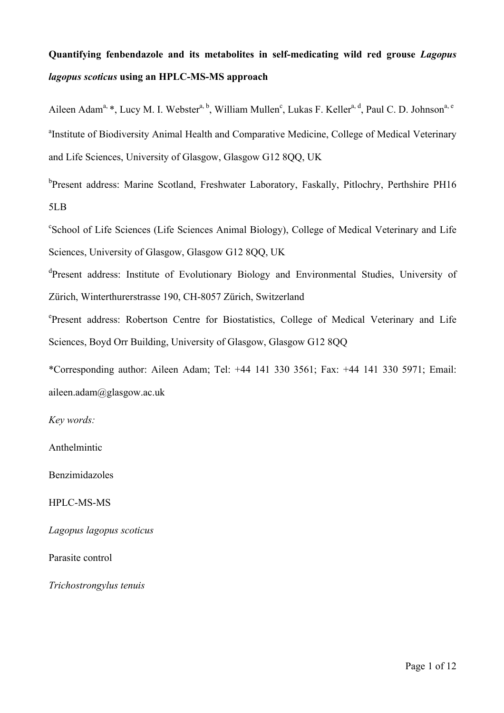## **Quantifying fenbendazole and its metabolites in self-medicating wild red grouse** *Lagopus lagopus scoticus* **using an HPLC-MS-MS approach**

Aileen Adam<sup>a, \*</sup>, Lucy M. I. Webster<sup>a, b</sup>, William Mullen<sup>c</sup>, Lukas F. Keller<sup>a, d</sup>, Paul C. D. Johnson<sup>a, e</sup> <sup>a</sup>Institute of Biodiversity Animal Health and Comparative Medicine, College of Medical Veterinary and Life Sciences, University of Glasgow, Glasgow G12 8QQ, UK

<sup>b</sup>Present address: Marine Scotland, Freshwater Laboratory, Faskally, Pitlochry, Perthshire PH16 5LB

c School of Life Sciences (Life Sciences Animal Biology), College of Medical Veterinary and Life Sciences, University of Glasgow, Glasgow G12 8QQ, UK

dPresent address: Institute of Evolutionary Biology and Environmental Studies, University of Zürich, Winterthurerstrasse 190, CH-8057 Zürich, Switzerland

e Present address: Robertson Centre for Biostatistics, College of Medical Veterinary and Life Sciences, Boyd Orr Building, University of Glasgow, Glasgow G12 8QQ

\*Corresponding author: Aileen Adam; Tel: +44 141 330 3561; Fax: +44 141 330 5971; Email: aileen.adam@glasgow.ac.uk

*Key words:*

Anthelmintic

Benzimidazoles

HPLC-MS-MS

*Lagopus lagopus scoticus*

Parasite control

*Trichostrongylus tenuis*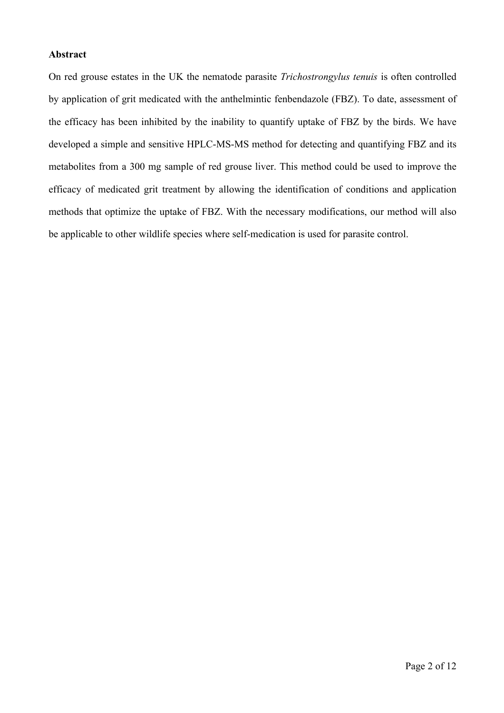### **Abstract**

On red grouse estates in the UK the nematode parasite *Trichostrongylus tenuis* is often controlled by application of grit medicated with the anthelmintic fenbendazole (FBZ). To date, assessment of the efficacy has been inhibited by the inability to quantify uptake of FBZ by the birds. We have developed a simple and sensitive HPLC-MS-MS method for detecting and quantifying FBZ and its metabolites from a 300 mg sample of red grouse liver. This method could be used to improve the efficacy of medicated grit treatment by allowing the identification of conditions and application methods that optimize the uptake of FBZ. With the necessary modifications, our method will also be applicable to other wildlife species where self-medication is used for parasite control.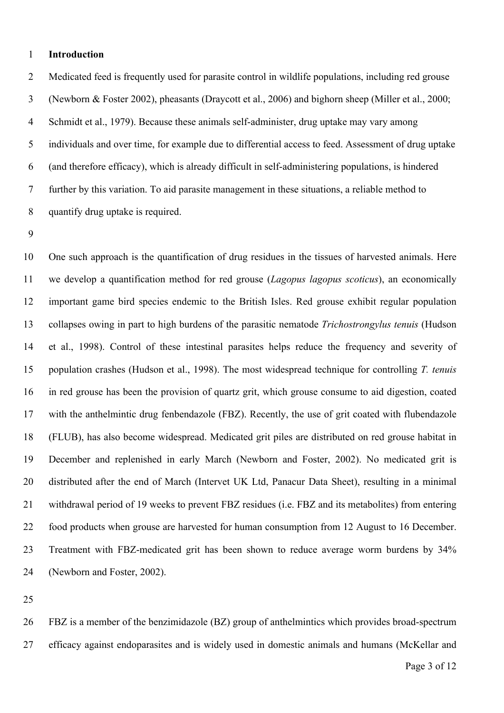### **Introduction**

 Medicated feed is frequently used for parasite control in wildlife populations, including red grouse (Newborn & Foster 2002), pheasants (Draycott et al., 2006) and bighorn sheep (Miller et al., 2000; Schmidt et al., 1979). Because these animals self-administer, drug uptake may vary among individuals and over time, for example due to differential access to feed. Assessment of drug uptake (and therefore efficacy), which is already difficult in self-administering populations, is hindered further by this variation. To aid parasite management in these situations, a reliable method to quantify drug uptake is required.

 One such approach is the quantification of drug residues in the tissues of harvested animals. Here we develop a quantification method for red grouse (*Lagopus lagopus scoticus*), an economically important game bird species endemic to the British Isles. Red grouse exhibit regular population collapses owing in part to high burdens of the parasitic nematode *Trichostrongylus tenuis* (Hudson et al., 1998). Control of these intestinal parasites helps reduce the frequency and severity of population crashes (Hudson et al., 1998). The most widespread technique for controlling *T. tenuis* in red grouse has been the provision of quartz grit, which grouse consume to aid digestion, coated with the anthelmintic drug fenbendazole (FBZ). Recently, the use of grit coated with flubendazole (FLUB), has also become widespread. Medicated grit piles are distributed on red grouse habitat in December and replenished in early March (Newborn and Foster, 2002). No medicated grit is distributed after the end of March (Intervet UK Ltd, Panacur Data Sheet), resulting in a minimal withdrawal period of 19 weeks to prevent FBZ residues (i.e. FBZ and its metabolites) from entering food products when grouse are harvested for human consumption from 12 August to 16 December. Treatment with FBZ-medicated grit has been shown to reduce average worm burdens by 34% (Newborn and Foster, 2002).

 FBZ is a member of the benzimidazole (BZ) group of anthelmintics which provides broad-spectrum efficacy against endoparasites and is widely used in domestic animals and humans (McKellar and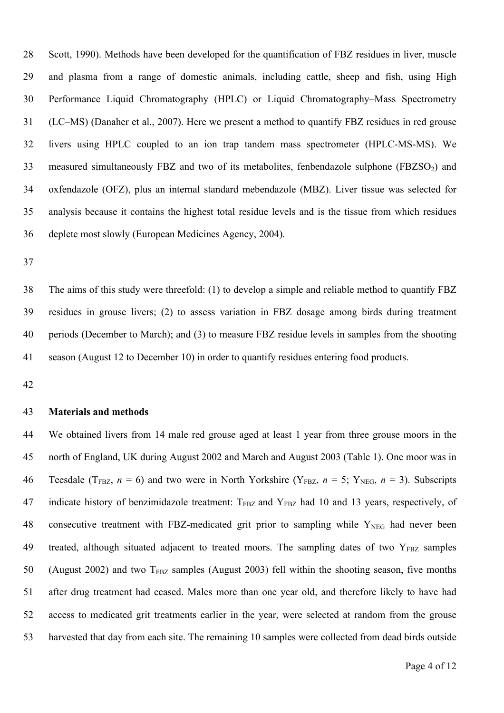Scott, 1990). Methods have been developed for the quantification of FBZ residues in liver, muscle and plasma from a range of domestic animals, including cattle, sheep and fish, using High Performance Liquid Chromatography (HPLC) or Liquid Chromatography–Mass Spectrometry (LC–MS) (Danaher et al., 2007). Here we present a method to quantify FBZ residues in red grouse livers using HPLC coupled to an ion trap tandem mass spectrometer (HPLC-MS-MS). We 33 measured simultaneously FBZ and two of its metabolites, fenbendazole sulphone  $(FBZSO<sub>2</sub>)$  and oxfendazole (OFZ), plus an internal standard mebendazole (MBZ). Liver tissue was selected for analysis because it contains the highest total residue levels and is the tissue from which residues deplete most slowly (European Medicines Agency, 2004).

 The aims of this study were threefold: (1) to develop a simple and reliable method to quantify FBZ residues in grouse livers; (2) to assess variation in FBZ dosage among birds during treatment periods (December to March); and (3) to measure FBZ residue levels in samples from the shooting season (August 12 to December 10) in order to quantify residues entering food products.

### **Materials and methods**

 We obtained livers from 14 male red grouse aged at least 1 year from three grouse moors in the north of England, UK during August 2002 and March and August 2003 (Table 1). One moor was in 46 Teesdale (T<sub>FBZ</sub>,  $n = 6$ ) and two were in North Yorkshire (Y<sub>FBZ</sub>,  $n = 5$ ; Y<sub>NEG</sub>,  $n = 3$ ). Subscripts 47 indicate history of benzimidazole treatment:  $T_{FBZ}$  and  $Y_{FBZ}$  had 10 and 13 years, respectively, of 48 consecutive treatment with FBZ-medicated grit prior to sampling while  $Y_{NEG}$  had never been 49 treated, although situated adjacent to treated moors. The sampling dates of two  $Y_{FBZ}$  samples 50 (August 2002) and two  $T_{FBT}$  samples (August 2003) fell within the shooting season, five months after drug treatment had ceased. Males more than one year old, and therefore likely to have had access to medicated grit treatments earlier in the year, were selected at random from the grouse harvested that day from each site. The remaining 10 samples were collected from dead birds outside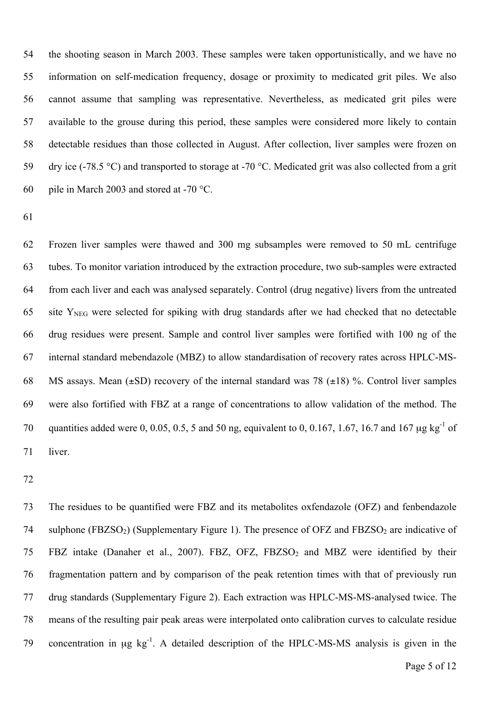the shooting season in March 2003. These samples were taken opportunistically, and we have no information on self-medication frequency, dosage or proximity to medicated grit piles. We also cannot assume that sampling was representative. Nevertheless, as medicated grit piles were available to the grouse during this period, these samples were considered more likely to contain detectable residues than those collected in August. After collection, liver samples were frozen on dry ice (-78.5 °C) and transported to storage at -70 °C. Medicated grit was also collected from a grit pile in March 2003 and stored at -70 °C.

 Frozen liver samples were thawed and 300 mg subsamples were removed to 50 mL centrifuge tubes. To monitor variation introduced by the extraction procedure, two sub-samples were extracted from each liver and each was analysed separately. Control (drug negative) livers from the untreated 65 site  $Y<sub>NEG</sub>$  were selected for spiking with drug standards after we had checked that no detectable drug residues were present. Sample and control liver samples were fortified with 100 ng of the internal standard mebendazole (MBZ) to allow standardisation of recovery rates across HPLC-MS-68 MS assays. Mean  $(\pm SD)$  recovery of the internal standard was 78  $(\pm 18)$  %. Control liver samples were also fortified with FBZ at a range of concentrations to allow validation of the method. The 70 quantities added were 0, 0.05, 0.5, 5 and 50 ng, equivalent to 0, 0.167, 1.67, 16.7 and 167  $\mu$ g kg<sup>-1</sup> of liver.

 The residues to be quantified were FBZ and its metabolites oxfendazole (OFZ) and fenbendazole 74 sulphone (FBZSO<sub>2</sub>) (Supplementary Figure 1). The presence of OFZ and FBZSO<sub>2</sub> are indicative of 75 FBZ intake (Danaher et al., 2007). FBZ, OFZ, FBZSO<sub>2</sub> and MBZ were identified by their fragmentation pattern and by comparison of the peak retention times with that of previously run drug standards (Supplementary Figure 2). Each extraction was HPLC-MS-MS-analysed twice. The means of the resulting pair peak areas were interpolated onto calibration curves to calculate residue 79 concentration in  $\mu$ g kg<sup>-1</sup>. A detailed description of the HPLC-MS-MS analysis is given in the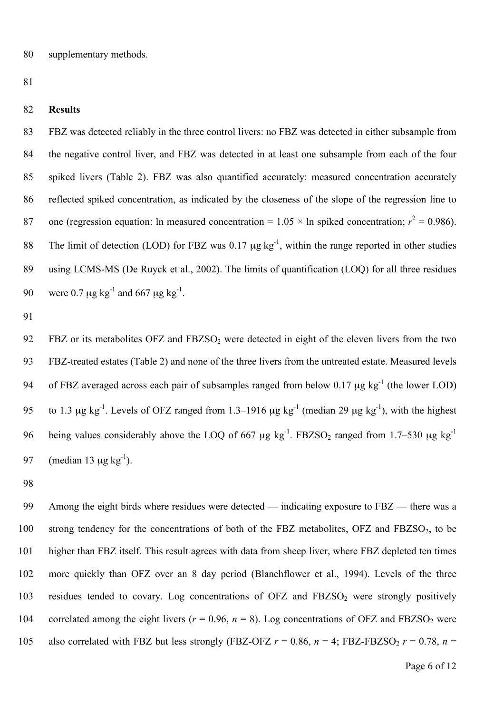81

#### 82 **Results**

 FBZ was detected reliably in the three control livers: no FBZ was detected in either subsample from the negative control liver, and FBZ was detected in at least one subsample from each of the four spiked livers (Table 2). FBZ was also quantified accurately: measured concentration accurately reflected spiked concentration, as indicated by the closeness of the slope of the regression line to 87 one (regression equation: ln measured concentration =  $1.05 \times$  ln spiked concentration;  $r^2 = 0.986$ ). The limit of detection (LOD) for FBZ was  $0.17 \mu$ g kg<sup>-1</sup>, within the range reported in other studies using LCMS-MS (De Ruyck et al., 2002). The limits of quantification (LOQ) for all three residues 90 were 0.7  $\mu$ g kg<sup>-1</sup> and 667  $\mu$ g kg<sup>-1</sup>.

91

92 FBZ or its metabolites OFZ and FBZSO<sub>2</sub> were detected in eight of the eleven livers from the two 93 FBZ-treated estates (Table 2) and none of the three livers from the untreated estate. Measured levels 94 of FBZ averaged across each pair of subsamples ranged from below 0.17  $\mu$ g kg<sup>-1</sup> (the lower LOD) 95 to 1.3  $\mu$ g kg<sup>-1</sup>. Levels of OFZ ranged from 1.3–1916  $\mu$ g kg<sup>-1</sup> (median 29  $\mu$ g kg<sup>-1</sup>), with the highest 96 being values considerably above the LOQ of 667  $\mu$ g kg<sup>-1</sup>. FBZSO<sub>2</sub> ranged from 1.7–530  $\mu$ g kg<sup>-1</sup> 97 (median 13  $\mu$ g kg<sup>-1</sup>).

98

99 Among the eight birds where residues were detected — indicating exposure to FBZ — there was a 100 strong tendency for the concentrations of both of the FBZ metabolites,  $OFZ$  and  $FBZSO<sub>2</sub>$ , to be 101 higher than FBZ itself. This result agrees with data from sheep liver, where FBZ depleted ten times 102 more quickly than OFZ over an 8 day period (Blanchflower et al., 1994). Levels of the three 103 residues tended to covary. Log concentrations of OFZ and FBZSO<sub>2</sub> were strongly positively 104 correlated among the eight livers  $(r = 0.96, n = 8)$ . Log concentrations of OFZ and FBZSO<sub>2</sub> were 105 also correlated with FBZ but less strongly (FBZ-OFZ  $r = 0.86$ ,  $n = 4$ ; FBZ-FBZSO<sub>2</sub>  $r = 0.78$ ,  $n =$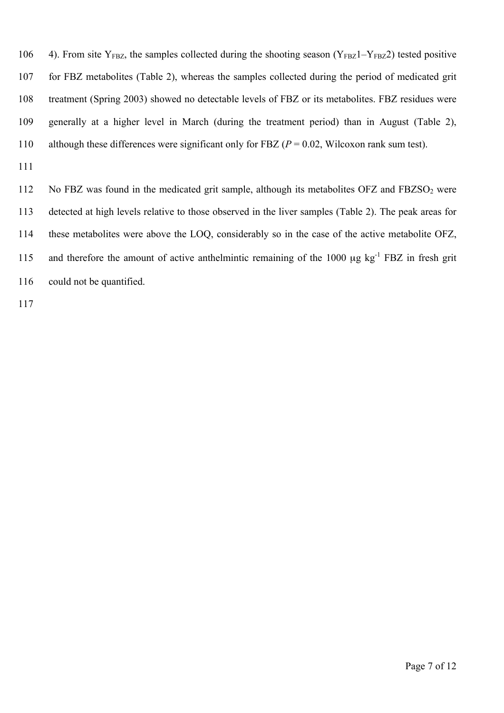106 4). From site  $Y_{FBZ}$ , the samples collected during the shooting season ( $Y_{FBZ}1-Y_{FBZ}2$ ) tested positive for FBZ metabolites (Table 2), whereas the samples collected during the period of medicated grit treatment (Spring 2003) showed no detectable levels of FBZ or its metabolites. FBZ residues were generally at a higher level in March (during the treatment period) than in August (Table 2), although these differences were significant only for FBZ (*P* = 0.02, Wilcoxon rank sum test).

112 No FBZ was found in the medicated grit sample, although its metabolites  $OFZ$  and  $FBZSO<sub>2</sub>$  were detected at high levels relative to those observed in the liver samples (Table 2). The peak areas for these metabolites were above the LOQ, considerably so in the case of the active metabolite OFZ, 115 and therefore the amount of active anthelmintic remaining of the 1000  $\mu$ g kg<sup>-1</sup> FBZ in fresh grit 116 could not be quantified.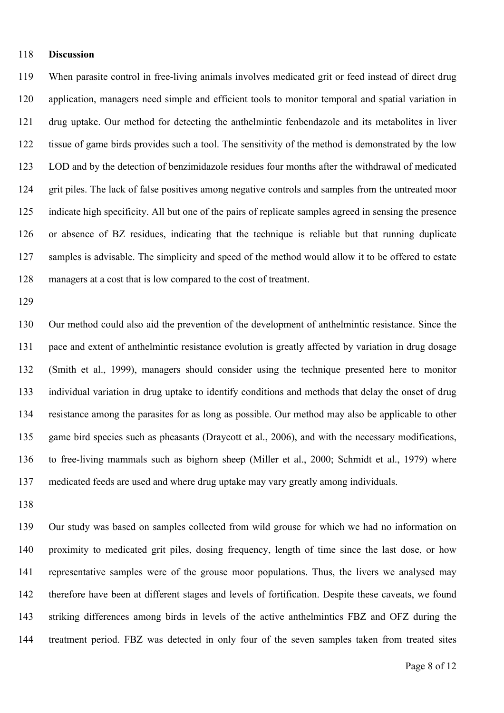#### **Discussion**

 When parasite control in free-living animals involves medicated grit or feed instead of direct drug application, managers need simple and efficient tools to monitor temporal and spatial variation in drug uptake. Our method for detecting the anthelmintic fenbendazole and its metabolites in liver tissue of game birds provides such a tool. The sensitivity of the method is demonstrated by the low LOD and by the detection of benzimidazole residues four months after the withdrawal of medicated grit piles. The lack of false positives among negative controls and samples from the untreated moor indicate high specificity. All but one of the pairs of replicate samples agreed in sensing the presence or absence of BZ residues, indicating that the technique is reliable but that running duplicate samples is advisable. The simplicity and speed of the method would allow it to be offered to estate managers at a cost that is low compared to the cost of treatment.

 Our method could also aid the prevention of the development of anthelmintic resistance. Since the pace and extent of anthelmintic resistance evolution is greatly affected by variation in drug dosage (Smith et al., 1999), managers should consider using the technique presented here to monitor individual variation in drug uptake to identify conditions and methods that delay the onset of drug resistance among the parasites for as long as possible. Our method may also be applicable to other game bird species such as pheasants (Draycott et al., 2006), and with the necessary modifications, to free-living mammals such as bighorn sheep (Miller et al., 2000; Schmidt et al., 1979) where medicated feeds are used and where drug uptake may vary greatly among individuals.

 Our study was based on samples collected from wild grouse for which we had no information on proximity to medicated grit piles, dosing frequency, length of time since the last dose, or how representative samples were of the grouse moor populations. Thus, the livers we analysed may therefore have been at different stages and levels of fortification. Despite these caveats, we found striking differences among birds in levels of the active anthelmintics FBZ and OFZ during the treatment period. FBZ was detected in only four of the seven samples taken from treated sites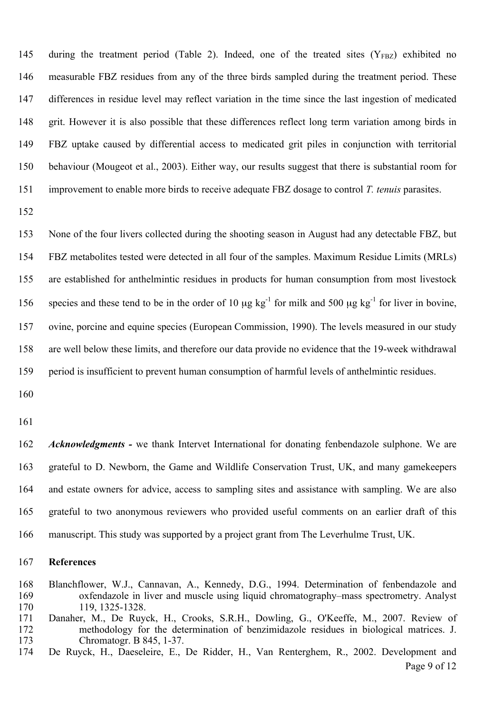145 during the treatment period (Table 2). Indeed, one of the treated sites  $(Y_{FRZ})$  exhibited no measurable FBZ residues from any of the three birds sampled during the treatment period. These differences in residue level may reflect variation in the time since the last ingestion of medicated grit. However it is also possible that these differences reflect long term variation among birds in FBZ uptake caused by differential access to medicated grit piles in conjunction with territorial behaviour (Mougeot et al., 2003). Either way, our results suggest that there is substantial room for improvement to enable more birds to receive adequate FBZ dosage to control *T. tenuis* parasites.

 None of the four livers collected during the shooting season in August had any detectable FBZ, but FBZ metabolites tested were detected in all four of the samples. Maximum Residue Limits (MRLs) are established for anthelmintic residues in products for human consumption from most livestock 156 species and these tend to be in the order of 10  $\mu$ g kg<sup>-1</sup> for milk and 500  $\mu$ g kg<sup>-1</sup> for liver in bovine, ovine, porcine and equine species (European Commission, 1990). The levels measured in our study are well below these limits, and therefore our data provide no evidence that the 19-week withdrawal period is insufficient to prevent human consumption of harmful levels of anthelmintic residues.

 *Acknowledgments -* we thank Intervet International for donating fenbendazole sulphone. We are grateful to D. Newborn, the Game and Wildlife Conservation Trust, UK, and many gamekeepers and estate owners for advice, access to sampling sites and assistance with sampling. We are also grateful to two anonymous reviewers who provided useful comments on an earlier draft of this manuscript. This study was supported by a project grant from The Leverhulme Trust, UK.

### **References**

- Blanchflower, W.J., Cannavan, A., Kennedy, D.G., 1994. Determination of fenbendazole and oxfendazole in liver and muscle using liquid chromatography–mass spectrometry. Analyst 119, 1325-1328.
- Danaher, M., De Ruyck, H., Crooks, S.R.H., Dowling, G., O'Keeffe, M., 2007. Review of methodology for the determination of benzimidazole residues in biological matrices. J. Chromatogr. B 845, 1-37.
- Page 9 of 12 De Ruyck, H., Daeseleire, E., De Ridder, H., Van Renterghem, R., 2002. Development and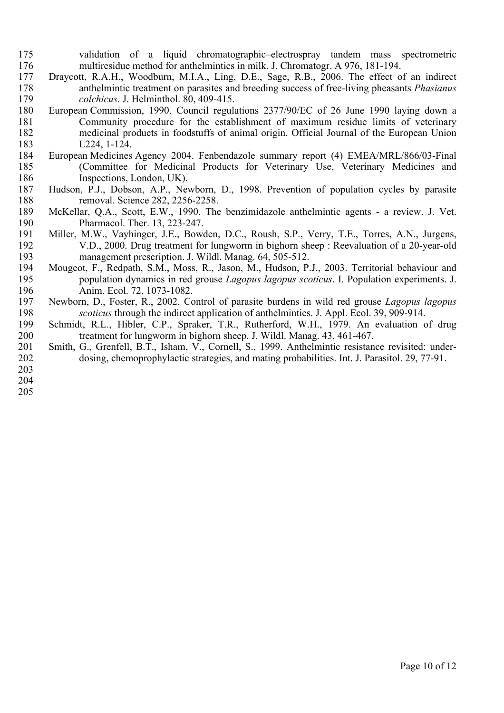- validation of a liquid chromatographic–electrospray tandem mass spectrometric multiresidue method for anthelmintics in milk. J. Chromatogr. A 976, 181-194.
- Draycott, R.A.H., Woodburn, M.I.A., Ling, D.E., Sage, R.B., 2006. The effect of an indirect anthelmintic treatment on parasites and breeding success of free-living pheasants *Phasianus colchicus*. J. Helminthol. 80, 409-415.
- European Commission, 1990. Council regulations 2377/90/EC of 26 June 1990 laying down a Community procedure for the establishment of maximum residue limits of veterinary medicinal products in foodstuffs of animal origin. Official Journal of the European Union L224, 1-124.
- European Medicines Agency 2004. Fenbendazole summary report (4) EMEA/MRL/866/03-Final (Committee for Medicinal Products for Veterinary Use, Veterinary Medicines and Inspections, London, UK).
- Hudson, P.J., Dobson, A.P., Newborn, D., 1998. Prevention of population cycles by parasite removal. Science 282, 2256-2258.
- McKellar, Q.A., Scott, E.W., 1990. The benzimidazole anthelmintic agents a review. J. Vet. Pharmacol. Ther. 13, 223-247.
- Miller, M.W., Vayhinger, J.E., Bowden, D.C., Roush, S.P., Verry, T.E., Torres, A.N., Jurgens, 192 V.D., 2000. Drug treatment for lungworm in bighorn sheep : Reevaluation of a 20-year-old<br>193 management prescription. J. Wildl. Manag. 64, 505-512. management prescription. J. Wildl. Manag. 64, 505-512.
- Mougeot, F., Redpath, S.M., Moss, R., Jason, M., Hudson, P.J., 2003. Territorial behaviour and population dynamics in red grouse *Lagopus lagopus scoticus*. I. Population experiments. J. Anim. Ecol. 72, 1073-1082.
- Newborn, D., Foster, R., 2002. Control of parasite burdens in wild red grouse *Lagopus lagopus*  198 *scoticus* through the indirect application of anthelmintics. J. Appl. Ecol. 39, 909-914.<br>199 Schmidt, R.L., Hibler, C.P., Spraker, T.R., Rutherford, W.H., 1979. An evaluation of
- Schmidt, R.L., Hibler, C.P., Spraker, T.R., Rutherford, W.H., 1979. An evaluation of drug treatment for lungworm in bighorn sheep. J. Wildl. Manag. 43, 461-467.
- Smith, G., Grenfell, B.T., Isham, V., Cornell, S., 1999. Anthelmintic resistance revisited: under-dosing, chemoprophylactic strategies, and mating probabilities. Int. J. Parasitol. 29, 77-91.
- 
- 

Page 10 of 12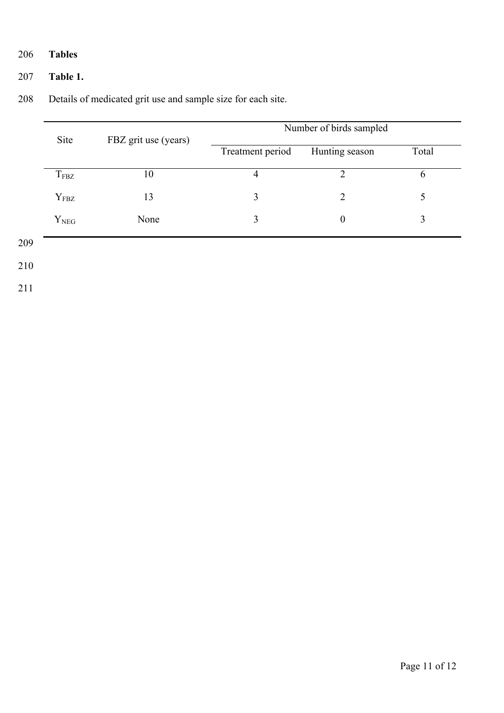### 206 **Tables**

### 207 **Table 1.**

|     | Site             | FBZ grit use (years) | Number of birds sampled |                  |       |  |
|-----|------------------|----------------------|-------------------------|------------------|-------|--|
|     |                  |                      | Treatment period        | Hunting season   | Total |  |
|     | $T_{\rm FBZ}$    | 10                   | $\overline{4}$          | $\overline{2}$   | 6     |  |
|     | Y <sub>FBZ</sub> | 13                   | 3                       | $\overline{2}$   | 5     |  |
|     | $Y_{NEG}$        | None                 | 3                       | $\boldsymbol{0}$ | 3     |  |
| 209 |                  |                      |                         |                  |       |  |
| 210 |                  |                      |                         |                  |       |  |
| 211 |                  |                      |                         |                  |       |  |

### 208 Details of medicated grit use and sample size for each site.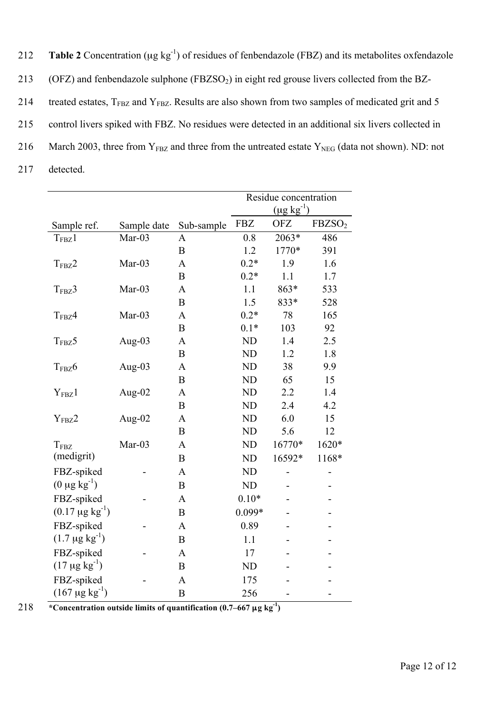| 212 | <b>Table 2</b> Concentration ( $\mu$ g kg <sup>-1</sup> ) of residues of fenbendazole (FBZ) and its metabolites oxfendazole |
|-----|-----------------------------------------------------------------------------------------------------------------------------|
| 213 | (OFZ) and fenbendazole sulphone $(FBZSO2)$ in eight red grouse livers collected from the BZ-                                |
| 214 | treated estates, $T_{FBZ}$ and $Y_{FBZ}$ . Results are also shown from two samples of medicated grit and 5                  |
| 215 | control livers spiked with FBZ. No residues were detected in an additional six livers collected in                          |
| 216 | March 2003, three from $Y_{FBZ}$ and three from the untreated estate $Y_{NEG}$ (data not shown). ND: not                    |
| 217 | detected.                                                                                                                   |

|                                  |             |                  | Residue concentration |                   |                    |
|----------------------------------|-------------|------------------|-----------------------|-------------------|--------------------|
|                                  |             |                  |                       | $(\mu g kg^{-1})$ |                    |
| Sample ref.                      | Sample date | Sub-sample       | <b>FBZ</b>            | <b>OFZ</b>        | FBZSO <sub>2</sub> |
| T <sub>FBZ</sub> 1               | $Mar-03$    | A                | 0.8                   | $2063*$           | 486                |
|                                  |             | $\mathbf B$      | 1.2                   | 1770*             | 391                |
| $T_{\rm FBZ}2$                   | Mar-03      | $\mathbf{A}$     | $0.2*$                | 1.9               | 1.6                |
|                                  |             | B                | $0.2*$                | 1.1               | 1.7                |
| $T_{F B Z}$ 3                    | Mar-03      | $\mathbf{A}$     | 1.1                   | 863*              | 533                |
|                                  |             | B                | 1.5                   | 833*              | 528                |
| $T_{\text{FBZ}}4$                | Mar-03      | $\mathbf{A}$     | $0.2*$                | 78                | 165                |
|                                  |             | $\mathbf B$      | $0.1*$                | 103               | 92                 |
| $T_{F B Z}$ 5                    | Aug-03      | $\mathbf{A}$     | <b>ND</b>             | 1.4               | 2.5                |
|                                  |             | $\mathbf B$      | <b>ND</b>             | 1.2               | 1.8                |
| $T_{\text{FBZ}}$ 6               | Aug-03      | $\mathbf{A}$     | <b>ND</b>             | 38                | 9.9                |
|                                  |             | $\mathbf B$      | <b>ND</b>             | 65                | 15                 |
| Y <sub>FBZ</sub> 1               | Aug-02      | A                | <b>ND</b>             | 2.2               | 1.4                |
|                                  |             | $\mathbf B$      | <b>ND</b>             | 2.4               | 4.2                |
| Y <sub>FBZ</sub> 2               | Aug- $02$   | $\mathbf{A}$     | <b>ND</b>             | 6.0               | 15                 |
|                                  |             | B                | ND                    | 5.6               | 12                 |
| $T_{\text{FBZ}}$                 | $Mar-03$    | $\mathbf{A}$     | <b>ND</b>             | 16770*            | 1620*              |
| (medigrit)                       |             | B                | <b>ND</b>             | 16592*            | 1168*              |
| FBZ-spiked                       |             | $\mathbf{A}$     | <b>ND</b>             |                   |                    |
| $(0 \mu g kg^{-1})$              |             | $\boldsymbol{B}$ | <b>ND</b>             |                   |                    |
| FBZ-spiked                       |             | $\mathbf{A}$     | $0.10*$               |                   |                    |
| $(0.17 \mu g kg^{-1})$           |             | $\mathbf B$      | $0.099*$              |                   |                    |
| FBZ-spiked                       |             | A                | 0.89                  |                   |                    |
| $(1.7 \,\mu g \,\text{kg}^{-1})$ |             | $\overline{B}$   | 1.1                   |                   |                    |
| FBZ-spiked                       |             | A                | 17                    |                   |                    |
| $(17 \mu g kg^{-1})$             |             | $\mathbf B$      | <b>ND</b>             |                   |                    |
| FBZ-spiked                       |             | A                | 175                   |                   |                    |
| $(167 \mu g kg^{-1})$            |             |                  |                       |                   |                    |
|                                  |             | $\mathbf B$      | 256                   |                   |                    |

*x*  $\frac{1}{218}$  **<sup>\*</sup> Concentration outside limits of quantification (0.7–667**  $\mu$ **g kg<sup>-1</sup>)**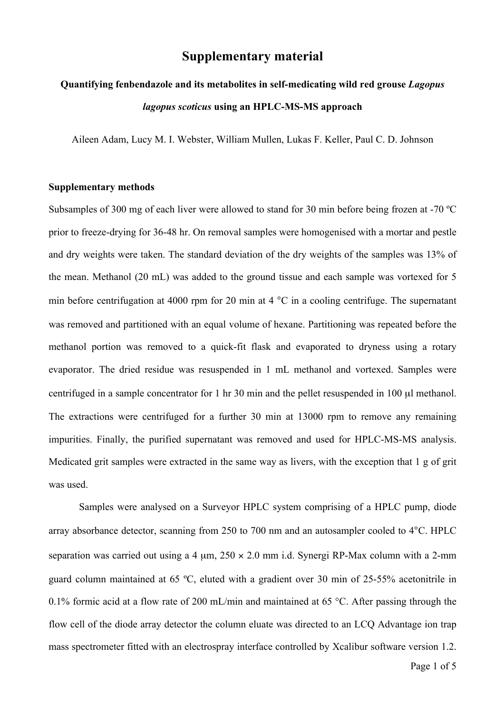### **Supplementary material**

# **Quantifying fenbendazole and its metabolites in self-medicating wild red grouse** *Lagopus lagopus scoticus* **using an HPLC-MS-MS approach**

Aileen Adam, Lucy M. I. Webster, William Mullen, Lukas F. Keller, Paul C. D. Johnson

#### **Supplementary methods**

Subsamples of 300 mg of each liver were allowed to stand for 30 min before being frozen at -70 ºC prior to freeze-drying for 36-48 hr. On removal samples were homogenised with a mortar and pestle and dry weights were taken. The standard deviation of the dry weights of the samples was 13% of the mean. Methanol (20 mL) was added to the ground tissue and each sample was vortexed for 5 min before centrifugation at 4000 rpm for 20 min at 4 °C in a cooling centrifuge. The supernatant was removed and partitioned with an equal volume of hexane. Partitioning was repeated before the methanol portion was removed to a quick-fit flask and evaporated to dryness using a rotary evaporator. The dried residue was resuspended in 1 mL methanol and vortexed. Samples were centrifuged in a sample concentrator for 1 hr 30 min and the pellet resuspended in 100 µl methanol. The extractions were centrifuged for a further 30 min at 13000 rpm to remove any remaining impurities. Finally, the purified supernatant was removed and used for HPLC-MS-MS analysis. Medicated grit samples were extracted in the same way as livers, with the exception that 1 g of grit was used.

Samples were analysed on a Surveyor HPLC system comprising of a HPLC pump, diode array absorbance detector, scanning from 250 to 700 nm and an autosampler cooled to 4°C. HPLC separation was carried out using a 4  $\mu$ m, 250  $\times$  2.0 mm i.d. Synergi RP-Max column with a 2-mm guard column maintained at 65 ºC, eluted with a gradient over 30 min of 25-55% acetonitrile in 0.1% formic acid at a flow rate of 200 mL/min and maintained at 65 °C. After passing through the flow cell of the diode array detector the column eluate was directed to an LCQ Advantage ion trap mass spectrometer fitted with an electrospray interface controlled by Xcalibur software version 1.2.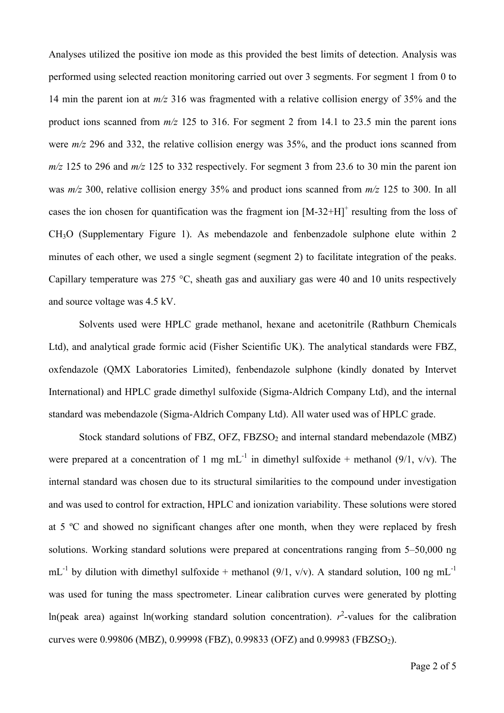Analyses utilized the positive ion mode as this provided the best limits of detection. Analysis was performed using selected reaction monitoring carried out over 3 segments. For segment 1 from 0 to 14 min the parent ion at *m/z* 316 was fragmented with a relative collision energy of 35% and the product ions scanned from *m/z* 125 to 316. For segment 2 from 14.1 to 23.5 min the parent ions were *m/z* 296 and 332, the relative collision energy was 35%, and the product ions scanned from *m/z* 125 to 296 and *m/z* 125 to 332 respectively. For segment 3 from 23.6 to 30 min the parent ion was *m/z* 300, relative collision energy 35% and product ions scanned from *m/z* 125 to 300. In all cases the ion chosen for quantification was the fragment ion  $[M-32+H]^+$  resulting from the loss of CH3O (Supplementary Figure 1). As mebendazole and fenbenzadole sulphone elute within 2 minutes of each other, we used a single segment (segment 2) to facilitate integration of the peaks. Capillary temperature was 275 °C, sheath gas and auxiliary gas were 40 and 10 units respectively and source voltage was 4.5 kV.

Solvents used were HPLC grade methanol, hexane and acetonitrile (Rathburn Chemicals Ltd), and analytical grade formic acid (Fisher Scientific UK). The analytical standards were FBZ, oxfendazole (QMX Laboratories Limited), fenbendazole sulphone (kindly donated by Intervet International) and HPLC grade dimethyl sulfoxide (Sigma-Aldrich Company Ltd), and the internal standard was mebendazole (Sigma-Aldrich Company Ltd). All water used was of HPLC grade.

Stock standard solutions of FBZ,  $OFZ$ ,  $FBZSO<sub>2</sub>$  and internal standard mebendazole (MBZ) were prepared at a concentration of 1 mg mL<sup>-1</sup> in dimethyl sulfoxide + methanol (9/1, v/v). The internal standard was chosen due to its structural similarities to the compound under investigation and was used to control for extraction, HPLC and ionization variability. These solutions were stored at 5 ºC and showed no significant changes after one month, when they were replaced by fresh solutions. Working standard solutions were prepared at concentrations ranging from 5–50,000 ng  $mL^{-1}$  by dilution with dimethyl sulfoxide + methanol (9/1, v/v). A standard solution, 100 ng mL<sup>-1</sup> was used for tuning the mass spectrometer. Linear calibration curves were generated by plotting ln(peak area) against ln(working standard solution concentration).  $r^2$ -values for the calibration curves were 0.99806 (MBZ), 0.99998 (FBZ), 0.99833 (OFZ) and 0.99983 (FBZSO<sub>2</sub>).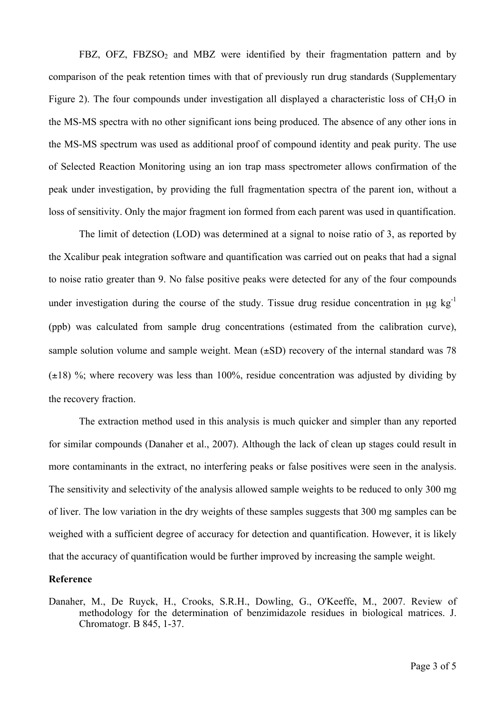FBZ, OFZ, FBZSO<sub>2</sub> and MBZ were identified by their fragmentation pattern and by comparison of the peak retention times with that of previously run drug standards (Supplementary Figure 2). The four compounds under investigation all displayed a characteristic loss of  $CH<sub>3</sub>O$  in the MS-MS spectra with no other significant ions being produced. The absence of any other ions in the MS-MS spectrum was used as additional proof of compound identity and peak purity. The use of Selected Reaction Monitoring using an ion trap mass spectrometer allows confirmation of the peak under investigation, by providing the full fragmentation spectra of the parent ion, without a loss of sensitivity. Only the major fragment ion formed from each parent was used in quantification.

The limit of detection (LOD) was determined at a signal to noise ratio of 3, as reported by the Xcalibur peak integration software and quantification was carried out on peaks that had a signal to noise ratio greater than 9. No false positive peaks were detected for any of the four compounds under investigation during the course of the study. Tissue drug residue concentration in  $\mu$ g kg<sup>-1</sup> (ppb) was calculated from sample drug concentrations (estimated from the calibration curve), sample solution volume and sample weight. Mean  $(\pm SD)$  recovery of the internal standard was 78  $(\pm 18)$  %; where recovery was less than 100%, residue concentration was adjusted by dividing by the recovery fraction.

The extraction method used in this analysis is much quicker and simpler than any reported for similar compounds (Danaher et al., 2007). Although the lack of clean up stages could result in more contaminants in the extract, no interfering peaks or false positives were seen in the analysis. The sensitivity and selectivity of the analysis allowed sample weights to be reduced to only 300 mg of liver. The low variation in the dry weights of these samples suggests that 300 mg samples can be weighed with a sufficient degree of accuracy for detection and quantification. However, it is likely that the accuracy of quantification would be further improved by increasing the sample weight.

#### **Reference**

Danaher, M., De Ruyck, H., Crooks, S.R.H., Dowling, G., O'Keeffe, M., 2007. Review of methodology for the determination of benzimidazole residues in biological matrices. J. Chromatogr. B 845, 1-37.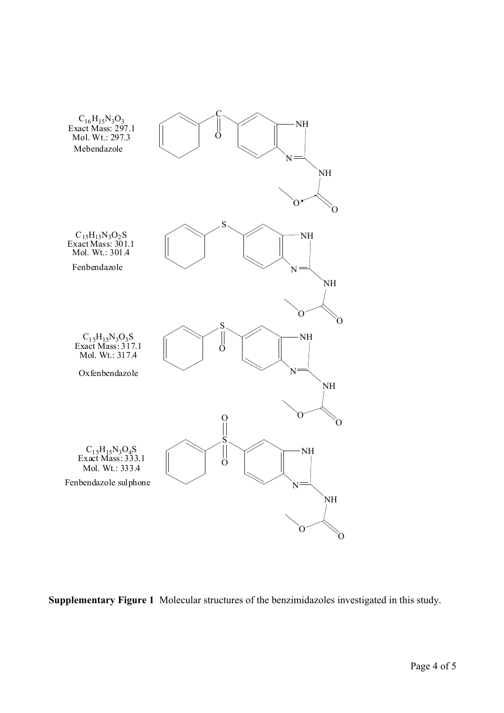

**Supplementary Figure 1** Molecular structures of the benzimidazoles investigated in this study.